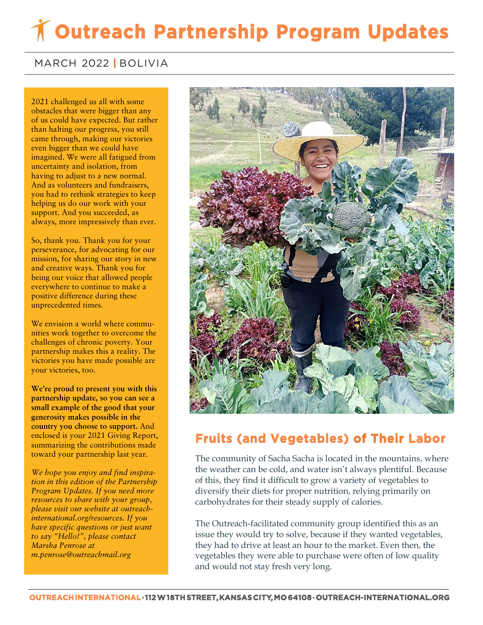# **Outreach Partnership Program Updates**

#### MARCH 2022 **|** BOLIVIA

 of us could have expected. But rather **came through, making our victories** 2021 challenged us all with some obstacles that were bigger than any than halting our progress, you still even bigger than we could have imagined. We were all fatigued from uncertainty and isolation, from having to adjust to a new normal. And as volunteers and fundraisers, you had to rethink strategies to keep helping us do our work with your support. And you succeeded, as always, more impressively than ever.

So, thank you. Thank you for your perseverance, for advocating for our mission, for sharing our story in new and creative ways. Thank you for being our voice that allowed people everywhere to continue to make a positive difference during these unprecedented times.

We envision a world where communities work together to overcome the challenges of chronic poverty. Your partnership makes this a reality. The victories you have made possible are your victories, too.

**We're proud to present you with this partnership update, so you can see a small example of the good that your generosity makes possible in the country you choose to support.** And enclosed is your 2021 Giving Report, summarizing the contributions made toward your partnership last year.

*We hope you enjoy and find inspiration in this edition of the Partnership Program Updates. If you need more resources to share with your group, please visit our website at outreachinternational.org/resources. If you have specific questions or just want to say "Hello!", please contact Marsha Penrose at m.penrose@outreachmail.org*



### **Fruits (and Vegetables) of Their Labor**

The community of Sacha Sacha is located in the mountains, where the weather can be cold, and water isn't always plentiful. Because of this, they find it difficult to grow a variety of vegetables to diversify their diets for proper nutrition, relying primarily on carbohydrates for their steady supply of calories.

The Outreach-facilitated community group identified this as an issue they would try to solve, because if they wanted vegetables, they had to drive at least an hour to the market. Even then, the vegetables they were able to purchase were often of low quality and would not stay fresh very long.